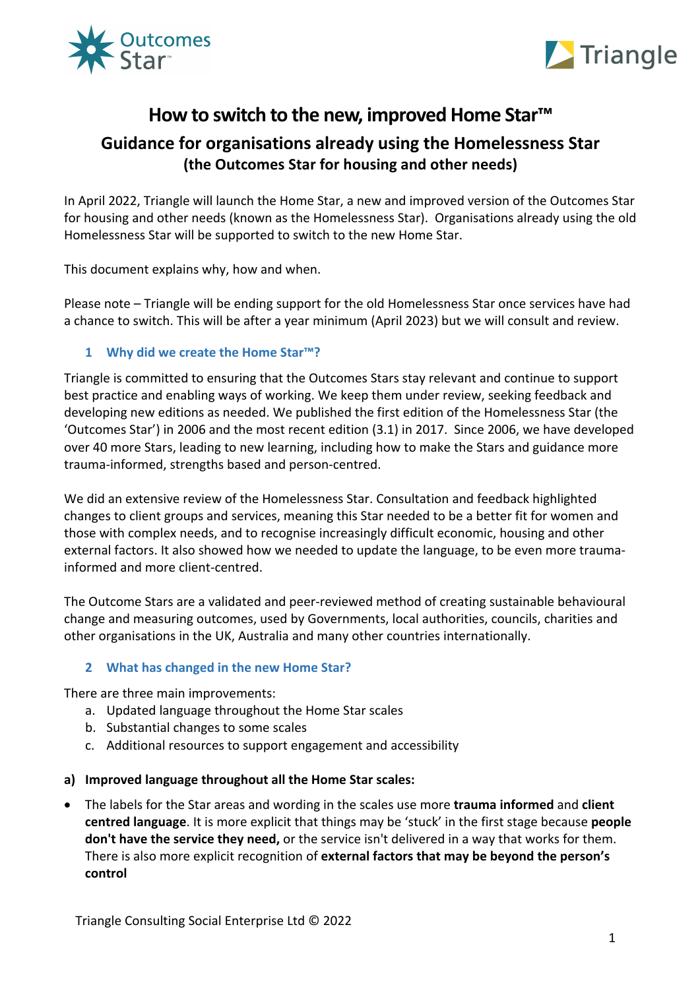



# **How to switch to the new, improved Home Star™**

# **Guidance for organisations already using the Homelessness Star (the Outcomes Star for housing and other needs)**

In April 2022, Triangle will launch the Home Star, a new and improved version of the Outcomes Star for housing and other needs (known as the Homelessness Star). Organisations already using the old Homelessness Star will be supported to switch to the new Home Star.

This document explains why, how and when.

Please note – Triangle will be ending support for the old Homelessness Star once services have had a chance to switch. This will be after a year minimum (April 2023) but we will consult and review.

# **1 Why did we create the Home Star™?**

Triangle is committed to ensuring that the Outcomes Stars stay relevant and continue to support best practice and enabling ways of working. We keep them under review, seeking feedback and developing new editions as needed. We published the first edition of the Homelessness Star (the 'Outcomes Star') in 2006 and the most recent edition (3.1) in 2017. Since 2006, we have developed over 40 more Stars, leading to new learning, including how to make the Stars and guidance more trauma-informed, strengths based and person-centred.

We did an extensive review of the Homelessness Star. Consultation and feedback highlighted changes to client groups and services, meaning this Star needed to be a better fit for women and those with complex needs, and to recognise increasingly difficult economic, housing and other external factors. It also showed how we needed to update the language, to be even more traumainformed and more client-centred.

The Outcome Stars are a validated and peer-reviewed method of creating sustainable behavioural change and measuring outcomes, used by Governments, local authorities, councils, charities and other organisations in the UK, Australia and many other countries internationally.

# **2 What has changed in the new Home Star?**

There are three main improvements:

- a. Updated language throughout the Home Star scales
- b. Substantial changes to some scales
- c. Additional resources to support engagement and accessibility

### **a) Improved language throughout all the Home Star scales:**

• The labels for the Star areas and wording in the scales use more **trauma informed** and **client centred language**. It is more explicit that things may be 'stuck' in the first stage because **people don't have the service they need,** or the service isn't delivered in a way that works for them. There is also more explicit recognition of **external factors that may be beyond the person's control**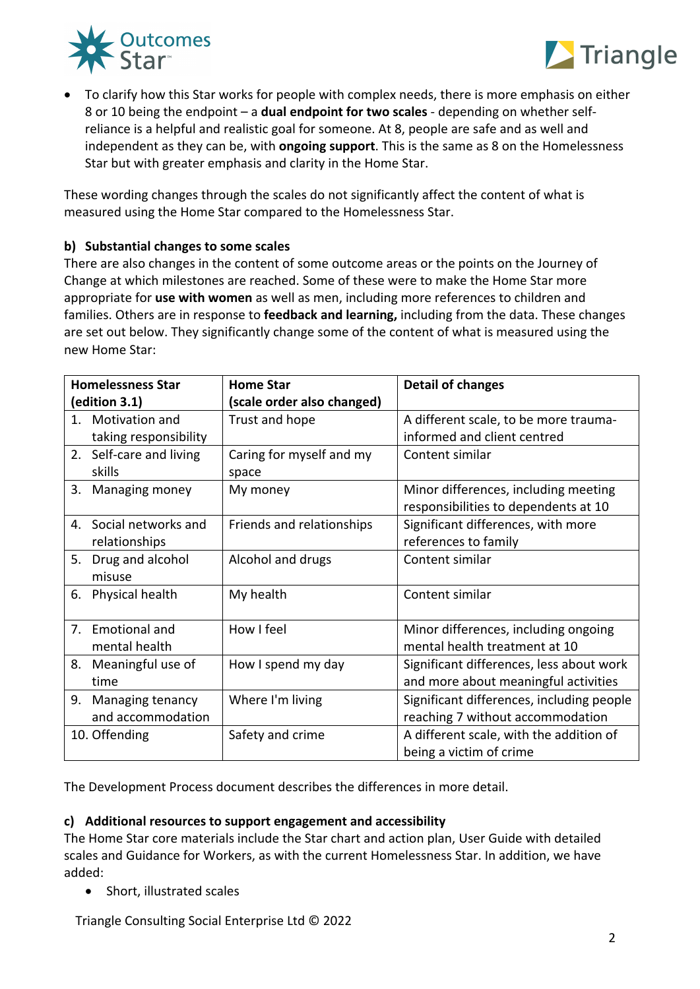



• To clarify how this Star works for people with complex needs, there is more emphasis on either 8 or 10 being the endpoint – a **dual endpoint for two scales** - depending on whether selfreliance is a helpful and realistic goal for someone. At 8, people are safe and as well and independent as they can be, with **ongoing support**. This is the same as 8 on the Homelessness Star but with greater emphasis and clarity in the Home Star.

These wording changes through the scales do not significantly affect the content of what is measured using the Home Star compared to the Homelessness Star.

## **b) Substantial changes to some scales**

There are also changes in the content of some outcome areas or the points on the Journey of Change at which milestones are reached. Some of these were to make the Home Star more appropriate for **use with women** as well as men, including more references to children and families. Others are in response to **feedback and learning,** including from the data. These changes are set out below. They significantly change some of the content of what is measured using the new Home Star:

| <b>Homelessness Star</b>   | <b>Home Star</b>           | <b>Detail of changes</b>                  |
|----------------------------|----------------------------|-------------------------------------------|
| (edition 3.1)              | (scale order also changed) |                                           |
| Motivation and<br>$1_{-}$  | Trust and hope             | A different scale, to be more trauma-     |
| taking responsibility      |                            | informed and client centred               |
| 2. Self-care and living    | Caring for myself and my   | Content similar                           |
| skills                     | space                      |                                           |
| 3.<br>Managing money       | My money                   | Minor differences, including meeting      |
|                            |                            | responsibilities to dependents at 10      |
| Social networks and<br>4.  | Friends and relationships  | Significant differences, with more        |
| relationships              |                            | references to family                      |
| Drug and alcohol<br>5.     | Alcohol and drugs          | Content similar                           |
| misuse                     |                            |                                           |
| Physical health<br>6.      | My health                  | Content similar                           |
|                            |                            |                                           |
| 7.<br><b>Emotional and</b> | How I feel                 | Minor differences, including ongoing      |
| mental health              |                            | mental health treatment at 10             |
| 8.<br>Meaningful use of    | How I spend my day         | Significant differences, less about work  |
| time                       |                            | and more about meaningful activities      |
| 9.<br>Managing tenancy     | Where I'm living           | Significant differences, including people |
| and accommodation          |                            | reaching 7 without accommodation          |
| 10. Offending              | Safety and crime           | A different scale, with the addition of   |
|                            |                            | being a victim of crime                   |

The Development Process document describes the differences in more detail.

### **c) Additional resources to support engagement and accessibility**

The Home Star core materials include the Star chart and action plan, User Guide with detailed scales and Guidance for Workers, as with the current Homelessness Star. In addition, we have added:

• Short, illustrated scales

Triangle Consulting Social Enterprise Ltd © 2022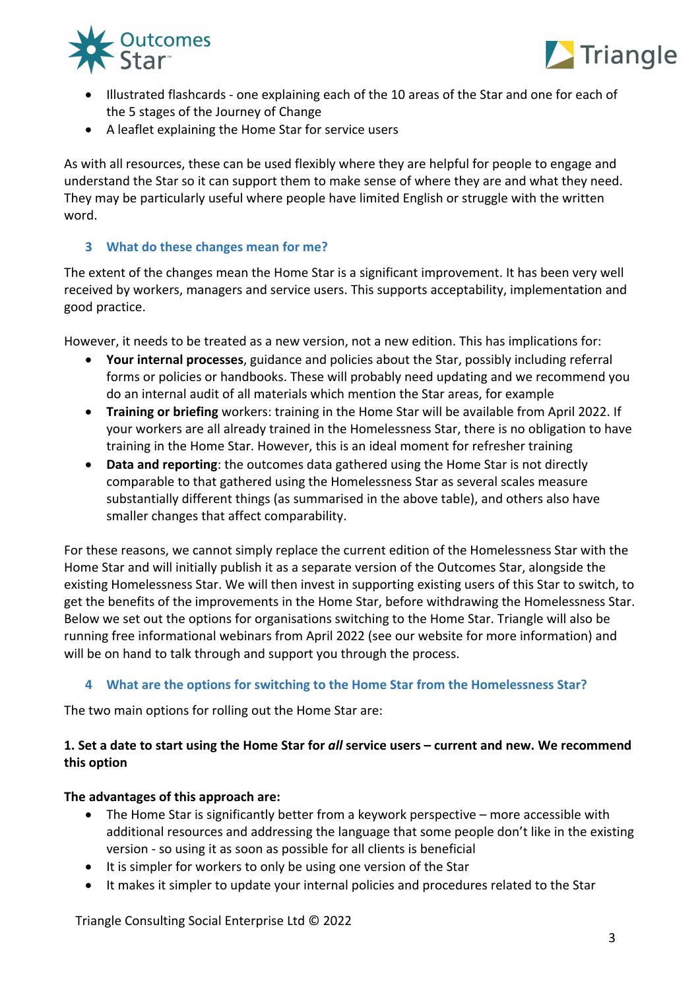



- Illustrated flashcards one explaining each of the 10 areas of the Star and one for each of the 5 stages of the Journey of Change
- A leaflet explaining the Home Star for service users

As with all resources, these can be used flexibly where they are helpful for people to engage and understand the Star so it can support them to make sense of where they are and what they need. They may be particularly useful where people have limited English or struggle with the written word.

## **3 What do these changes mean for me?**

The extent of the changes mean the Home Star is a significant improvement. It has been very well received by workers, managers and service users. This supports acceptability, implementation and good practice.

However, it needs to be treated as a new version, not a new edition. This has implications for:

- **Your internal processes**, guidance and policies about the Star, possibly including referral forms or policies or handbooks. These will probably need updating and we recommend you do an internal audit of all materials which mention the Star areas, for example
- **Training or briefing** workers: training in the Home Star will be available from April 2022. If your workers are all already trained in the Homelessness Star, there is no obligation to have training in the Home Star. However, this is an ideal moment for refresher training
- **Data and reporting**: the outcomes data gathered using the Home Star is not directly comparable to that gathered using the Homelessness Star as several scales measure substantially different things (as summarised in the above table), and others also have smaller changes that affect comparability.

For these reasons, we cannot simply replace the current edition of the Homelessness Star with the Home Star and will initially publish it as a separate version of the Outcomes Star, alongside the existing Homelessness Star. We will then invest in supporting existing users of this Star to switch, to get the benefits of the improvements in the Home Star, before withdrawing the Homelessness Star. Below we set out the options for organisations switching to the Home Star. Triangle will also be running free informational webinars from April 2022 (see our website for more information) and will be on hand to talk through and support you through the process.

# **4 What are the options for switching to the Home Star from the Homelessness Star?**

The two main options for rolling out the Home Star are:

# **1. Set a date to start using the Home Star for** *all* **service users – current and new. We recommend this option**

# **The advantages of this approach are:**

- The Home Star is significantly better from a keywork perspective more accessible with additional resources and addressing the language that some people don't like in the existing version - so using it as soon as possible for all clients is beneficial
- It is simpler for workers to only be using one version of the Star
- It makes it simpler to update your internal policies and procedures related to the Star

Triangle Consulting Social Enterprise Ltd © 2022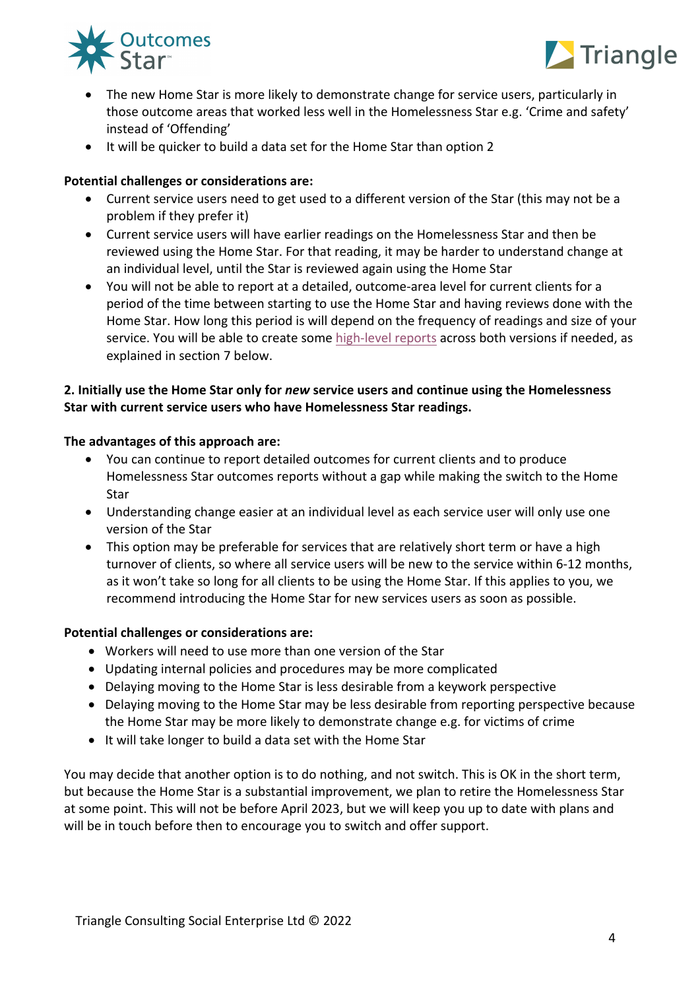



- The new Home Star is more likely to demonstrate change for service users, particularly in those outcome areas that worked less well in the Homelessness Star e.g. 'Crime and safety' instead of 'Offending'
- It will be quicker to build a data set for the Home Star than option 2

### **Potential challenges or considerations are:**

- Current service users need to get used to a different version of the Star (this may not be a problem if they prefer it)
- Current service users will have earlier readings on the Homelessness Star and then be reviewed using the Home Star. For that reading, it may be harder to understand change at an individual level, until the Star is reviewed again using the Home Star
- You will not be able to report at a detailed, outcome-area level for current clients for a period of the time between starting to use the Home Star and having reviews done with the Home Star. How long this period is will depend on the frequency of readings and size of your service. You will be able to create some high-level reports across both versions if needed, as explained in section 7 below.

## **2. Initially use the Home Star only for** *new* **service users and continue using the Homelessness Star with current service users who have Homelessness Star readings.**

### **The advantages of this approach are:**

- You can continue to report detailed outcomes for current clients and to produce Homelessness Star outcomes reports without a gap while making the switch to the Home Star
- Understanding change easier at an individual level as each service user will only use one version of the Star
- This option may be preferable for services that are relatively short term or have a high turnover of clients, so where all service users will be new to the service within 6-12 months, as it won't take so long for all clients to be using the Home Star. If this applies to you, we recommend introducing the Home Star for new services users as soon as possible.

### **Potential challenges or considerations are:**

- Workers will need to use more than one version of the Star
- Updating internal policies and procedures may be more complicated
- Delaying moving to the Home Star is less desirable from a keywork perspective
- Delaying moving to the Home Star may be less desirable from reporting perspective because the Home Star may be more likely to demonstrate change e.g. for victims of crime
- It will take longer to build a data set with the Home Star

You may decide that another option is to do nothing, and not switch. This is OK in the short term, but because the Home Star is a substantial improvement, we plan to retire the Homelessness Star at some point. This will not be before April 2023, but we will keep you up to date with plans and will be in touch before then to encourage you to switch and offer support.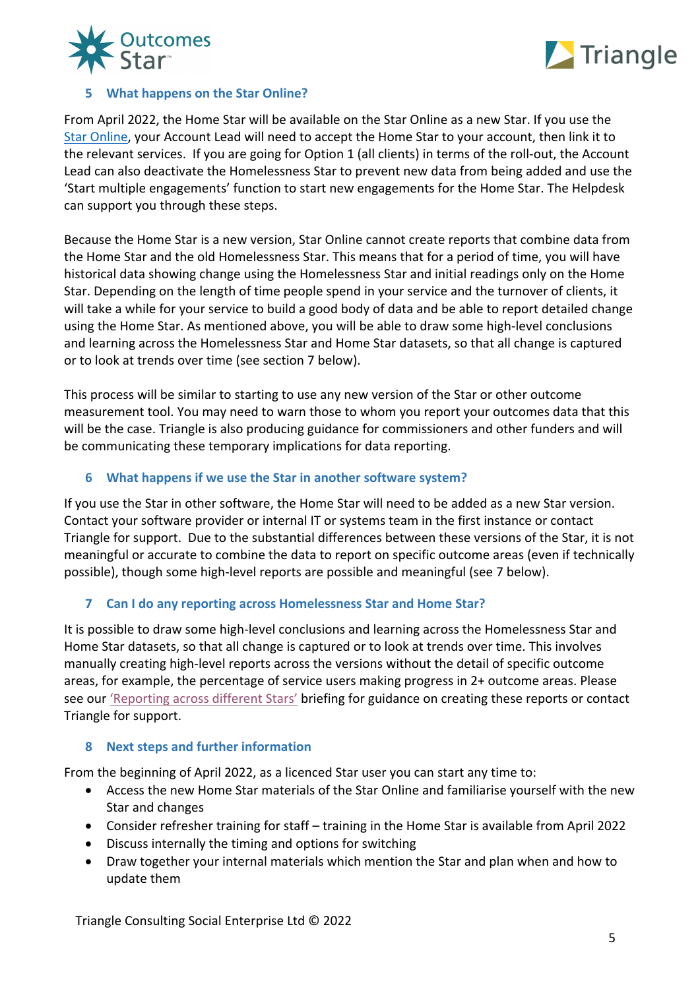



## **5 What happens on the Star Online?**

From April 2022, the Home Star will be available on the Star Online as a new Star. If you use the Star Online, your Account Lead will need to accept the Home Star to your account, then link it to the relevant services. If you are going for Option 1 (all clients) in terms of the roll-out, the Account Lead can also deactivate the Homelessness Star to prevent new data from being added and use the 'Start multiple engagements' function to start new engagements for the Home Star. The Helpdesk can support you through these steps.

Because the Home Star is a new version, Star Online cannot create reports that combine data from the Home Star and the old Homelessness Star. This means that for a period of time, you will have historical data showing change using the Homelessness Star and initial readings only on the Home Star. Depending on the length of time people spend in your service and the turnover of clients, it will take a while for your service to build a good body of data and be able to report detailed change using the Home Star. As mentioned above, you will be able to draw some high-level conclusions and learning across the Homelessness Star and Home Star datasets, so that all change is captured or to look at trends over time (see section 7 below).

This process will be similar to starting to use any new version of the Star or other outcome measurement tool. You may need to warn those to whom you report your outcomes data that this will be the case. Triangle is also producing guidance for commissioners and other funders and will be communicating these temporary implications for data reporting.

## **6 What happens if we use the Star in another software system?**

If you use the Star in other software, the Home Star will need to be added as a new Star version. Contact your software provider or internal IT or systems team in the first instance or contact Triangle for support. Due to the substantial differences between these versions of the Star, it is not meaningful or accurate to combine the data to report on specific outcome areas (even if technically possible), though some high-level reports are possible and meaningful (see 7 below).

### **7 Can I do any reporting across Homelessness Star and Home Star?**

It is possible to draw some high-level conclusions and learning across the Homelessness Star and Home Star datasets, so that all change is captured or to look at trends over time. This involves manually creating high-level reports across the versions without the detail of specific outcome areas, for example, the percentage of service users making progress in 2+ outcome areas. Please see our 'Reporting across different Stars' briefing for guidance on creating these reports or contact Triangle for support.

### **8 Next steps and further information**

From the beginning of April 2022, as a licenced Star user you can start any time to:

- Access the new Home Star materials of the Star Online and familiarise yourself with the new Star and changes
- Consider refresher training for staff training in the Home Star is available from April 2022
- Discuss internally the timing and options for switching
- Draw together your internal materials which mention the Star and plan when and how to update them

Triangle Consulting Social Enterprise Ltd © 2022